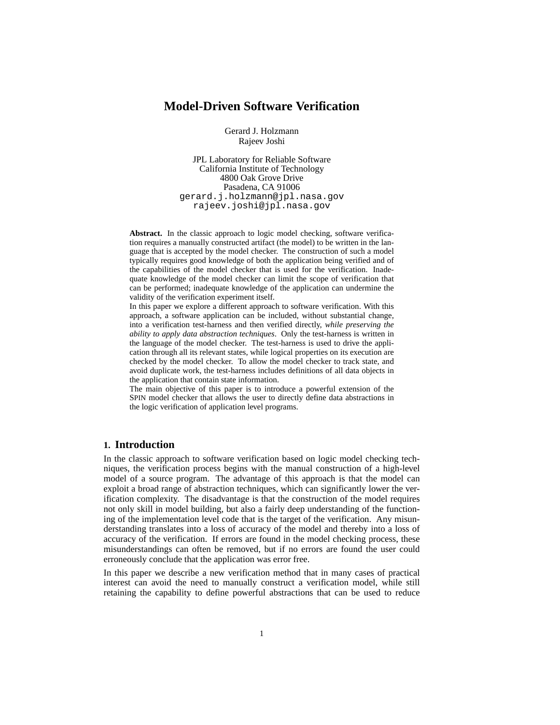# **Model-Driven Software Verification**

Gerard J. Holzmann Rajeev Joshi

JPL Laboratory for Reliable Software California Institute of Technology 4800 Oak Grove Drive Pasadena, CA 91006 gerard.j.holzmann@jpl.nasa.gov rajeev.joshi@jpl.nasa.gov

**Abstract.** In the classic approach to logic model checking, software verification requires a manually constructed artifact (the model) to be written in the language that is accepted by the model checker. The construction of such a model typically requires good knowledge of both the application being verified and of the capabilities of the model checker that is used for the verification. Inadequate knowledge of the model checker can limit the scope of verification that can be performed; inadequate knowledge of the application can undermine the validity of the verification experiment itself.

In this paper we explore a different approach to software verification. With this approach, a software application can be included, without substantial change, into a verification test-harness and then verified directly, *while preserving the ability to apply data abstraction techniques*. Only the test-harness is written in the language of the model checker. The test-harness is used to drive the application through all its relevant states, while logical properties on its execution are checked by the model checker. To allow the model checker to track state, and avoid duplicate work, the test-harness includes definitions of all data objects in the application that contain state information.

The main objective of this paper is to introduce a powerful extension of the SPIN model checker that allows the user to directly define data abstractions in the logic verification of application level programs.

## **1. Introduction**

In the classic approach to software verification based on logic model checking techniques, the verification process begins with the manual construction of a high-level model of a source program. The advantage of this approach is that the model can exploit a broad range of abstraction techniques, which can significantly lower the verification complexity. The disadvantage is that the construction of the model requires not only skill in model building, but also a fairly deep understanding of the functioning of the implementation level code that is the target of the verification. Any misunderstanding translates into a loss of accuracy of the model and thereby into a loss of accuracy of the verification. If errors are found in the model checking process, these misunderstandings can often be removed, but if no errors are found the user could erroneously conclude that the application was error free.

In this paper we describe a new verification method that in many cases of practical interest can avoid the need to manually construct a verification model, while still retaining the capability to define powerful abstractions that can be used to reduce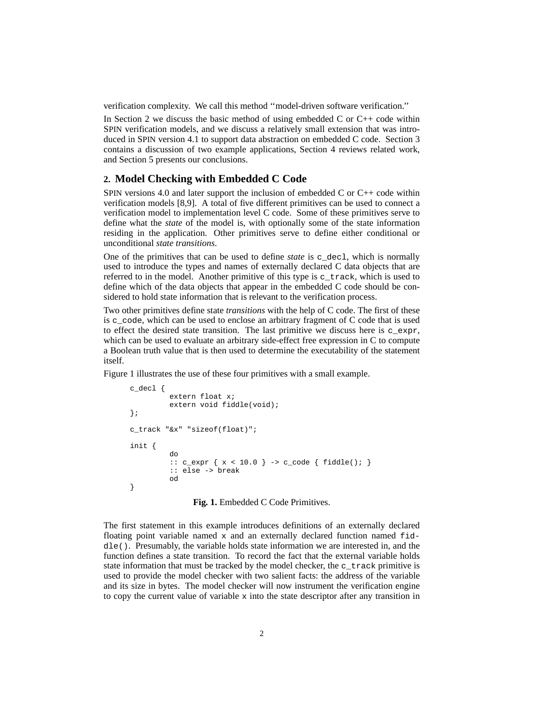verification complexity. We call this method ''model-driven software verification.''

In Section 2 we discuss the basic method of using embedded  $C$  or  $C++$  code within SPIN verification models, and we discuss a relatively small extension that was introduced in SPIN version 4.1 to support data abstraction on embedded C code. Section 3 contains a discussion of two example applications, Section 4 reviews related work, and Section 5 presents our conclusions.

## **2. Model Checking with Embedded C Code**

SPIN versions 4.0 and later support the inclusion of embedded C or  $C_{++}$  code within verification models [8,9]. A total of five different primitives can be used to connect a verification model to implementation levelCcode. Some of these primitives serve to define what the *state* of the model is, with optionally some of the state information residing in the application. Other primitives serve to define either conditional or unconditional *state transitions*.

One of the primitives that can be used to define *state* is c\_decl, which is normally used to introduce the types and names of externally declared C data objects that are referred to in the model. Another primitive of this type is c\_track, which is used to define which of the data objects that appear in the embedded C code should be considered to hold state information that is relevant to the verification process.

Two other primitives define state *transitions* with the help of C code. The first of these is c\_code, which can be used to enclose an arbitrary fragment of C code that is used to effect the desired state transition. The last primitive we discuss here is  $c_{\text{expr}}$ , which can be used to evaluate an arbitrary side-effect free expression in C to compute a Boolean truth value that is then used to determine the executability of the statement itself.

Figure 1 illustrates the use of these four primitives with a small example.

```
c_decl {
         extern float x;
         extern void fiddle(void);
};
c_track "&x" "sizeof(float)";
init {
         do
         :: c_expr { x < 10.0 } -> c_code { fiddle(); }
         :: else -> break
         od
}
```
**Fig. 1.** Embedded C Code Primitives.

The first statement in this example introduces definitions of an externally declared floating point variable named  $x$  and an externally declared function named  $f$ iddle(). Presumably, the variable holds state information we are interested in, and the function defines a state transition. To record the fact that the external variable holds state information that must be tracked by the model checker, the c\_track primitive is used to provide the model checker with two salient facts: the address of the variable and its size in bytes. The model checker will now instrument the verification engine to copy the current value of variable  $x$  into the state descriptor after any transition in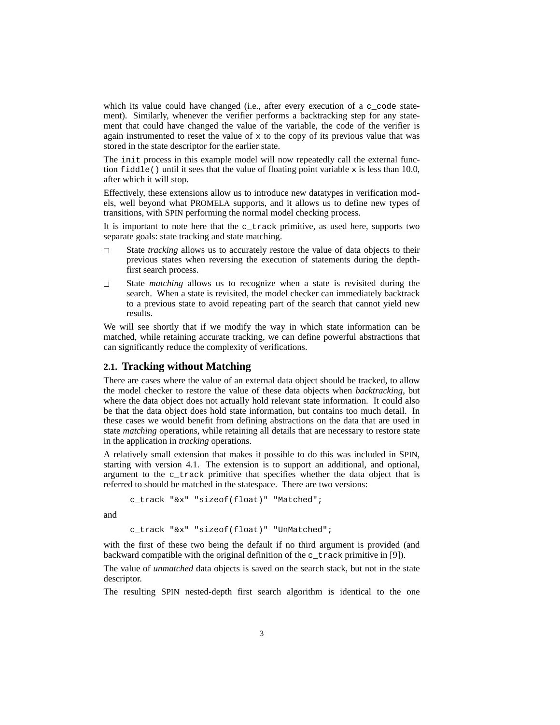which its value could have changed (i.e., after every execution of a c\_code statement). Similarly, whenever the verifier performs a backtracking step for any statement that could have changed the value of the variable, the code of the verifier is again instrumented to reset the value of  $x$  to the copy of its previous value that was stored in the state descriptor for the earlier state.

The init process in this example model will now repeatedly call the external function fiddle() until it sees that the value of floating point variable  $x$  is less than 10.0, after which it will stop.

Effectively, these extensions allow us to introduce new datatypes in verification models, well beyond what PROMELA supports, and it allows us to define new types of transitions, with SPIN performing the normal model checking process.

It is important to note here that the c\_track primitive, as used here, supports two separate goals: state tracking and state matching.

- State *tracking* allows us to accurately restore the value of data objects to their  $\Box$ previous states when reversing the execution of statements during the depthfirst search process.
- State *matching* allows us to recognize when a state is revisited during the  $\Box$ search. When a state is revisited, the model checker can immediately backtrack to a previous state to avoid repeating part of the search that cannot yield new results.

We will see shortly that if we modify the way in which state information can be matched, while retaining accurate tracking, we can define powerful abstractions that can significantly reduce the complexity of verifications.

# **2.1. Tracking without Matching**

There are cases where the value of an external data object should be tracked, to allow the model checker to restore the value of these data objects when *backtracking*, but where the data object does not actually hold relevant state information. It could also be that the data object does hold state information, but contains too much detail. In these cases we would benefit from defining abstractions on the data that are used in state *matching* operations, while retaining all details that are necessary to restore state in the application in *tracking* operations.

A relatively small extension that makes it possible to do this was included in SPIN, starting with version 4.1. The extension is to support an additional, and optional, argument to the c\_track primitive that specifies whether the data object that is referred to should be matched in the statespace. There are two versions:

c\_track "&x" "sizeof(float)" "Matched";

and

c\_track "&x" "sizeof(float)" "UnMatched";

with the first of these two being the default if no third argument is provided (and backward compatible with the original definition of the  $c$  track primitive in [9]).

The value of *unmatched* data objects is saved on the search stack, but not in the state descriptor.

The resulting SPIN nested-depth first search algorithm is identical to the one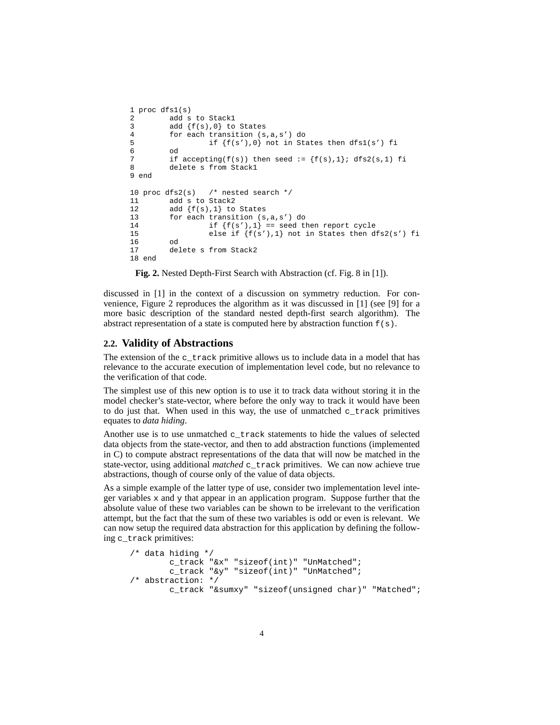```
1 proc dfs1(s)
2 add s to Stack1<br>3 add \{f(s), 0\} to
3 add {f(s),0} to States<br>4 for each transition (s
4 for each transition (s, a, s') do<br>5 if \{f(s') \cdot 0\} not in St.
                      if {f(s',0)} not in States then dfs1(s') fi
6 od
           if accepting(f(s)) then seed := {f(s), 1}; dfs2(s,1) fi
8 delete s from Stack1
9 end
10 proc dfs2(s) /* nested search */<br>11 add s to Stack2
           add s to Stack2
12 add {f(s),1} to States<br>13 for each transition (s
13 for each transition (s,a,s') do<br>14 if \{f(s')\} == seed t
                      if {f(s',1)} == seed then report cycle15 else if \{f(s'),1\} not in States then dfs2(s') fi<br>16 od
           \circ d17 delete s from Stack2
18 end
```
**Fig. 2.** Nested Depth-First Search with Abstraction (cf. Fig. 8 in [1]).

discussed in [1] in the context of a discussion on symmetry reduction. For convenience, Figure 2 reproduces the algorithm as it was discussed in [1] (see [9] for a more basic description of the standard nested depth-first search algorithm). The abstract representation of a state is computed here by abstraction function  $f(s)$ .

### **2.2. Validity of Abstractions**

The extension of the c\_track primitive allows us to include data in a model that has relevance to the accurate execution of implementation level code, but no relevance to the verification of that code.

The simplest use of this new option is to use it to track data without storing it in the model checker's state-vector, where before the only way to track it would have been to do just that. When used in this way, the use of unmatched  $c$ \_track primitives equates to *data hiding*.

Another use is to use unmatched  $\sigma$  track statements to hide the values of selected data objects from the state-vector, and then to add abstraction functions (implemented in C) to compute abstract representations of the data that will now be matched in the state-vector, using additional *matched* c\_track primitives. We can now achieve true abstractions, though of course only of the value of data objects.

As a simple example of the latter type of use, consider two implementation level integer variables  $x$  and  $y$  that appear in an application program. Suppose further that the absolute value of these two variables can be shown to be irrelevant to the verification attempt, but the fact that the sum of these two variables is odd or even is relevant. We can now setup the required data abstraction for this application by defining the following c\_track primitives:

```
/* data hiding */
        c_track "&x" "sizeof(int)" "UnMatched";
       c_track "&y" "sizeof(int)" "UnMatched";
/* abstraction: */
       c_track "&sumxy" "sizeof(unsigned char)" "Matched";
```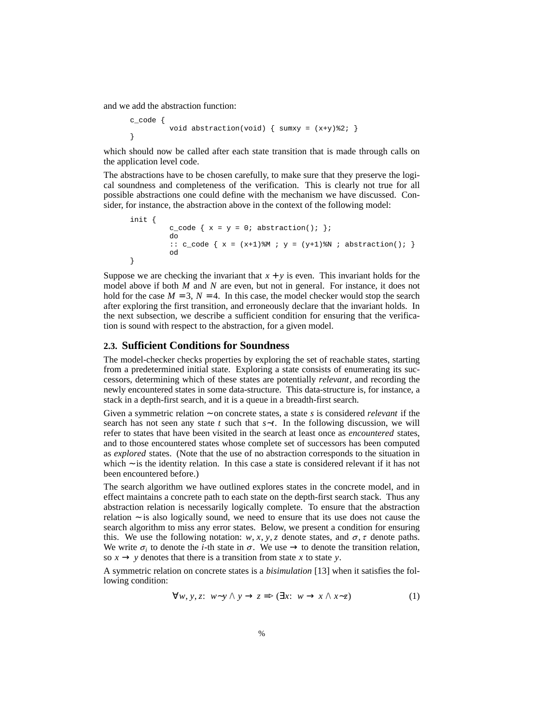and we add the abstraction function:

```
c_code {
         void abstraction(void) { sumxy = (x+y) 2; }
}
```
which should now be called after each state transition that is made through calls on the application level code.

The abstractions have to be chosen carefully, to make sure that they preserve the logical soundness and completeness of the verification. This is clearly not true for all possible abstractions one could define with the mechanism we have discussed. Consider, for instance, the abstraction above in the context of the following model:

```
init {
         c_code \{ x = y = 0; abstraction(); };
         do
         :: c_code \{ x = (x+1) \{M} ; y = (y+1) \{N} ; abstraction(); \}od
}
```
Suppose we are checking the invariant that  $x + y$  is even. This invariant holds for the model above if both *M* and *N* are even, but not in general. For instance, it does not hold for the case  $M = 3$ ,  $N = 4$ . In this case, the model checker would stop the search after exploring the first transition, and erroneously declare that the invariant holds. In the next subsection, we describe a sufficient condition for ensuring that the verification is sound with respect to the abstraction, for a given model.

### **2.3. Sufficient Conditions for Soundness**

The model-checker checks properties by exploring the set of reachable states, starting from a predetermined initial state. Exploring a state consists of enumerating its successors, determining which of these states are potentially *relevant*, and recording the newly encountered states in some data-structure. This data-structure is, for instance, a stack in a depth-first search, and it is a queue in a breadth-first search.

Given a symmetric relation ∼ on concrete states, a state *s* is considered *relevant* if the search has not seen any state *t* such that *s*∼*t*. In the following discussion, we will refer to states that have been visited in the search at least once as *encountered* states, and to those encountered states whose complete set of successors has been computed as *explored* states. (Note that the use of no abstraction corresponds to the situation in which ∼ is the identity relation. In this case a state is considered relevant if it has not been encountered before.)

The search algorithm we have outlined explores states in the concrete model, and in effect maintains a concrete path to each state on the depth-first search stack. Thus any abstraction relation is necessarily logically complete. To ensure that the abstraction relation ∼ is also logically sound, we need to ensure that its use does not cause the search algorithm to miss any error states. Below, we present a condition for ensuring this. We use the following notation:  $w$ ,  $x$ ,  $y$ ,  $z$  denote states, and  $\sigma$ ,  $\tau$  denote paths. We write  $\sigma_i$  to denote the *i*-th state in  $\sigma$ . We use  $\rightarrow$  to denote the transition relation, so  $x \rightarrow y$  denotes that there is a transition from state *x* to state *y*.

A symmetric relation on concrete states is a *bisimulation* [13] when it satisfies the following condition:

$$
\forall w, y, z: w \neg y \land y \rightarrow z \Rightarrow (\exists x: w \rightarrow x \land x \neg z)
$$
 (1)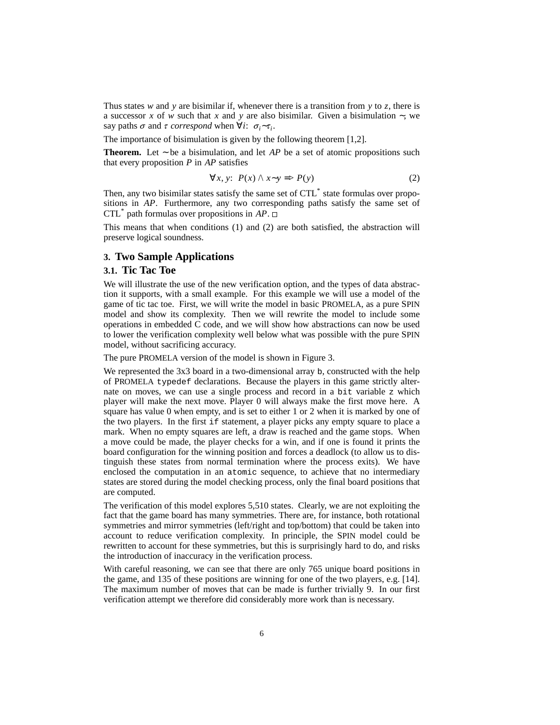Thus states *w* and *y* are bisimilar if, whenever there is a transition from *y* to *z*, there is a successor *x* of *w* such that *x* and *y* are also bisimilar. Given a bisimulation  $\sim$ , we say paths  $\sigma$  and  $\tau$  *correspond* when  $\forall i$ :  $\sigma_i \sim \tau_i$ .

The importance of bisimulation is given by the following theorem [1,2].

**Theorem.** Let ∼ be a bisimulation, and let *AP* be a set of atomic propositions such that every proposition *P* in *AP* satisfies

$$
\forall x, y: P(x) \land x \sim y \implies P(y) \tag{2}
$$

Then, any two bisimilar states satisfy the same set of CTL<sup>\*</sup> state formulas over propositions in *AP*. Furthermore, any two corresponding paths satisfy the same set of CTL\* path formulas over propositions in *AP*.

This means that when conditions (1) and (2) are both satisfied, the abstraction will preserve logical soundness.

# **3.** Two Sample Applications

## **3.1. Tic Tac Toe**

We will illustrate the use of the new verification option, and the types of data abstraction it supports, with a small example. For this example we will use a model of the game of tic tac toe. First, we will write the model in basic PROMELA, asapure SPIN model and show its complexity. Then we will rewrite the model to include some operations in embedded C code, and we will show how abstractions can now be used to lower the verification complexity well below what was possible with the pure SPIN model, without sacrificing accuracy.

The pure PROMELA version of the model is shown in Figure 3.

We represented the 3x3 board in a two-dimensional array b, constructed with the help of PROMELA typedef declarations. Because the players in this game strictly alternate on moves, we can use a single process and record in a bit variable z which player will make the next move. Player 0 will always make the first move here. A square has value 0 when empty, and is set to either 1 or 2 when it is marked by one of the two players. In the first if statement, a player picks any empty square to place a mark. When no empty squares are left, a draw is reached and the game stops. When a move could be made, the player checks for a win, and if one is found it prints the board configuration for the winning position and forces a deadlock (to allow us to distinguish these states from normal termination where the process exits). We have enclosed the computation in an atomic sequence, to achieve that no intermediary states are stored during the model checking process, only the final board positions that are computed.

The verification of this model explores 5,510 states. Clearly, we are not exploiting the fact that the game board has many symmetries. There are, for instance, both rotational symmetries and mirror symmetries (left/right and top/bottom) that could be taken into account to reduce verification complexity. In principle, the SPIN model could be rewritten to account for these symmetries, but this is surprisingly hard to do, and risks the introduction of inaccuracy in the verification process.

With careful reasoning, we can see that there are only 765 unique board positions in the game, and 135 of these positions are winning for one of the two players, e.g. [14]. The maximum number of moves that can be made is further trivially 9. In our first verification attempt we therefore did considerably more work than is necessary.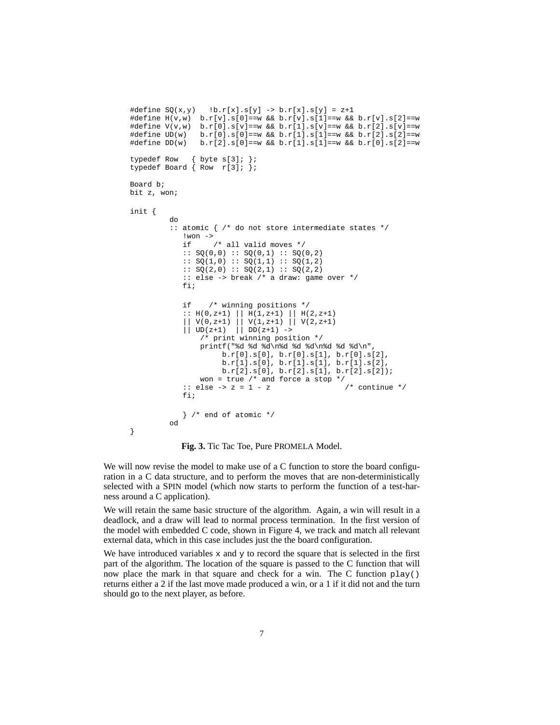```
#define SQ(x,y)   lb.r[x].s[y] \rightarrow b.r[x].s[y] = z+1#define H(v,w) b.r[v].s[0]==w & b.r[v].s[1]==w & b.r[v].s[2]==w
#define V(v,w) b.r[0].s[v]==w && b.r[1].s[v]==w && b.r[2].s[v]==w
                b.r[0].s[0]==w \& b.r[1].s[1]==w \& b.r[2].s[2]==w#define DD(w) b.r[2].s[0]==w && b.r[1].s[1]==w && b.r[0].s[2]==w
typedef Row { byte s[3]; };
typedef Board \{ Row r[3]; \};
Board b;
bit z, won;
init {
         do
         :: atomic { /* do not store intermediate states */
            !won ->
            if /* all valid moves */
            :: SQ(0,0) :: SQ(0,1) :: SQ(0,2)
            \therefore SQ(1,0) \therefore SQ(1,1) \therefore SQ(1,2)
            :: SQ(2,0) :: SQ(2,1) :: SQ(2,2)
            :: else -> break /* a draw: game over */
            fi;
            if /* winning positions */
            :: H(0, z+1) || H(1, z+1) || H(2, z+1)|| V(0, z+1) || V(1, z+1) || V(2, z+1)|| UD(z+1) || DD(z+1) ->
                 /* print winning position */
                printf("%d %d %d\n%d %d %d\n%d %d %d\n",
                      b.r[0].s[0], b.r[0].s[1], b.r[0].s[2],
                      b.r[1].s[0], b.r[1].s[1], b.r[1].s[2],
                      b.r[2].s[0], b.r[2].s[1], b.r[2].s[2]);
                 won = true /* and force a stop */<br>
else -> z = 1 - z /* continue */
            :: else -> z = 1 - zfi;
            } /* end of atomic */
         od
```
}

**Fig. 3.** Tic Tac Toe, Pure PROMELA Model.

We will now revise the model to make use of a C function to store the board configuration in a C data structure, and to perform the moves that are non-deterministically selected with a SPIN model (which now starts to perform the function of a test-harness around a C application).

We will retain the same basic structure of the algorithm. Again, a win will result in a deadlock, and a draw will lead to normal process termination. In the first version of the model with embedded C code, shown in Figure 4, we track and match all relevant external data, which in this case includes just the the board configuration.

We have introduced variables  $x$  and  $y$  to record the square that is selected in the first part of the algorithm. The location of the square is passed to the C function that will now place the mark in that square and check for a win. The C function play() returns either a 2 if the last move made produced a win, or a 1 if it did not and the turn should go to the next player, as before.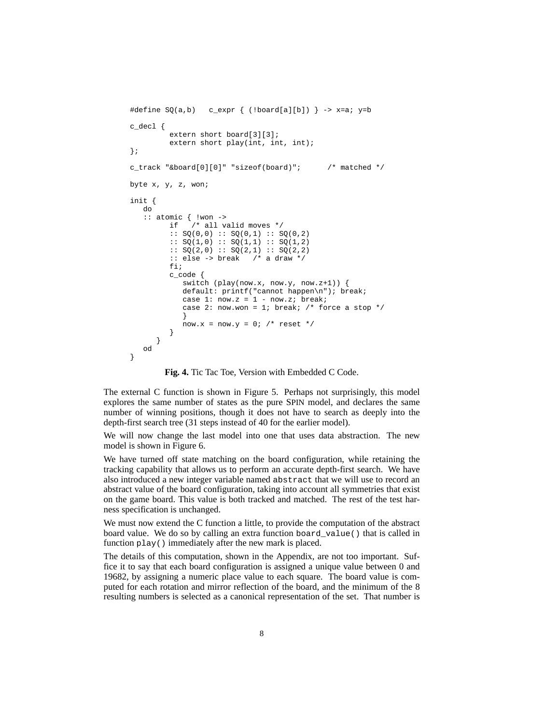```
#define SQ(a,b) c_expr { (!board[a][b]) } -> x=a; y=b
c_decl {
          extern short board[3][3];
          extern short play(int, int, int);
};
c_track "&board[0][0]" "sizeof(board)"; /* matched */
byte x, y, z, won;
init {
   do
   :: atomic { !won ->
         if /* all valid moves */
          \therefore SQ(0,0) \therefore SQ(0,1) \therefore SQ(0,2)
          :: SQ(1,0) :: SQ(1,1) :: SQ(1,2)
          :: SQ(2,0) :: SQ(2,1) :: SQ(2,2)<br>:: else -> break /* a draw */
          :: else -> break
         fi;
          c_code {
             switch (play(now.x, now.y, now.z+1)) {
             default: printf("cannot happen\n"); break;
             case 1: now.z = 1 - now.z; break;case 2: now.won = 1; break; /* force a stop */}
             now.x = now.y = 0; /* reset */
          }
      }
   od
}
```
**Fig. 4.** Tic Tac Toe, Version with Embedded C Code.

The external C function is shown in Figure 5. Perhaps not surprisingly, this model explores the same number of states as the pure SPIN model, and declares the same number of winning positions, though it does not have to search as deeply into the depth-first search tree (31 steps instead of 40 for the earlier model).

We will now change the last model into one that uses data abstraction. The new model is shown in Figure 6.

We have turned off state matching on the board configuration, while retaining the tracking capability that allows us to perform an accurate depth-first search. We have also introduced a new integer variable named abstract that we will use to record an abstract value of the board configuration, taking into account all symmetries that exist on the game board. This value is both tracked and matched. The rest of the test harness specification is unchanged.

We must now extend the C function a little, to provide the computation of the abstract board value. We do so by calling an extra function board\_value() that is called in function play() immediately after the new mark is placed.

The details of this computation, shown in the Appendix, are not too important. Suffice it to say that each board configuration is assigned a unique value between 0 and 19682, by assigning a numeric place value to each square. The board value is computed for each rotation and mirror reflection of the board, and the minimum of the 8 resulting numbers is selected as a canonical representation of the set. That number is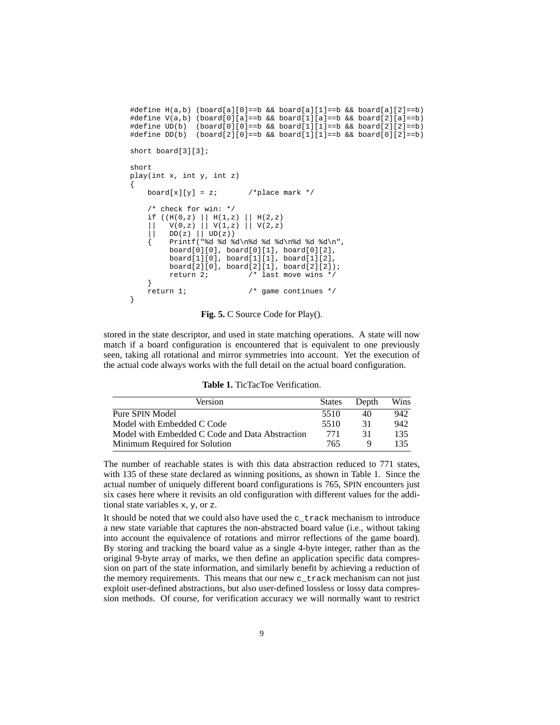```
#define H(a,b) (board[a][0]==b && board[a][1]==b && board[a][2]==b)
#define V(a,b) (board[0][a]==b && board[1][a]==b && board[2][a]==b)
#define UD(b) (board[0][0]==b && board[1][1]==b && board[2][2]==b)
#define DD(b) (board[2][0]==b && board[1][1]==b && board[0][2]==b)
short board[3][3];
short
play(int x, int y, int z)
{
    board[x][y] = z; /*place mark */
    /* check for win: */
    if ((H(0, z) || H(1, z) || H(2, z))|| \nabla(0, z) || \nabla(1, z) || \nabla(2, z)|| DD(z) || UD(z))
        Printf("%d %d %d\n%d %d %d\n%d %d %d\n",
        board[0][0], board[0][1], board[0][2],
        board[1][0], board[1][1], board[1][2],
        board[2][0], board[2][1], board[2][2]);
        return 2; /* last move wins */
    }
    return 1; /* game continues */
}
```
**Fig. 5.** C Source Code for Play().

stored in the state descriptor, and used in state matching operations. A state will now match if a board configuration is encountered that is equivalent to one previously seen, taking all rotational and mirror symmetries into account. Yet the execution of the actual code always works with the full detail on the actual board configuration.

**Table 1.** TicTacToe Verification.

| Version                                         | <b>States</b> | Depth | Wins |
|-------------------------------------------------|---------------|-------|------|
| Pure SPIN Model                                 | 5510          | 40    | 942  |
| Model with Embedded C Code                      | 5510          | 31    | 942  |
| Model with Embedded C Code and Data Abstraction | 771           | 31    | 135  |
| Minimum Required for Solution                   | 765           | Q     | 135  |

The number of reachable states is with this data abstraction reduced to 771 states, with 135 of these state declared as winning positions, as shown in Table 1. Since the actual number of uniquely different board configurations is 765, SPIN encounters just six cases here where it revisits an old configuration with different values for the additional state variables x, y, or z.

It should be noted that we could also have used the c\_track mechanism to introduce a new state variable that captures the non-abstracted board value (i.e., without taking into account the equivalence of rotations and mirror reflections of the game board). By storing and tracking the board value as a single 4-byte integer, rather than as the original 9-byte array of marks, we then define an application specific data compression on part of the state information, and similarly benefit by achieving a reduction of the memory requirements. This means that our new c\_track mechanism can not just exploit user-defined abstractions, but also user-defined lossless or lossy data compression methods. Of course, for verification accuracy we will normally want to restrict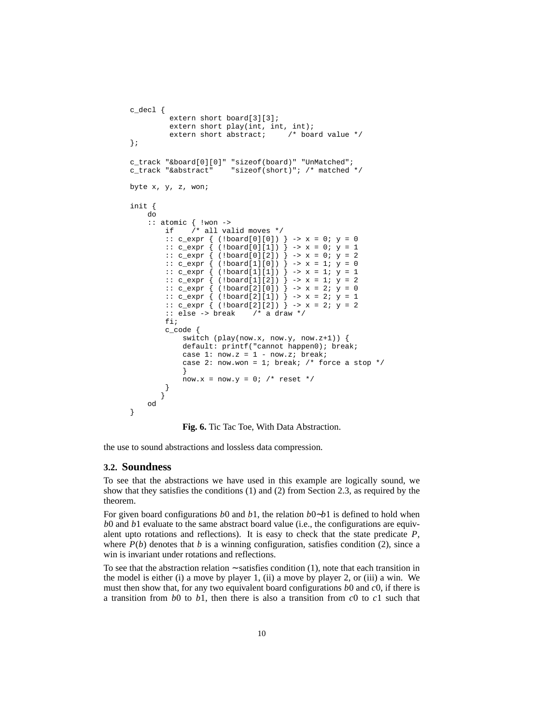```
c_decl {
          extern short board[3][3];
          extern short play(int, int, int);<br>extern short abstract; /* board value */
          extern short abstract;};
c_track "&board[0][0]" "sizeof(board)" "UnMatched";
c_track "&abstract" "sizeof(short)"; /* matched */
byte x, y, z, won;
init {
    do
     :: atomic { !won ->
          if /* all valid moves */
         :: c_{\text{expr}} { (!board[0][0]) } -> x = 0; y = 0
         :: c_expr { (!board[0][1]) } -> x = 0; y = 1<br>:: c_expr { (!board[0][2]) } -> x = 0; y = 2
                                         \} -> x = 0; y = 2
         :: c_expr \{ (!board[1][0]) \} -> x = 1; y = 0
         :: c_expr { (!board[1][1]) } -> x = 1; y = 1<br>:: c_expr { (!board[1][2]) } -> x = 1; y = 2
         :: c\_expr \{ (!board[1][2]):: c_expr { (!board[2][0]) } -> x = 2; y = 0
         :: c_expr \{ (!board[2][1]) \} -> x = 2; y = 1
         :: c_expr { (!board[2][2]) \int -> x = 2; \int = 2
         :: else -> break /* a draw */
         fi;
         c_code {
              switch (\text{play}(now.x, now.y, now.z+1)) {
              default: printf("cannot happen0); break;
              case 1: now.z = 1 - now.z; break;case 2: now.won = 1; break; /* force a stop */}
              now.x = now.y = 0; /* reset */
         }
        }
    od
}
```
**Fig. 6.** Tic Tac Toe, With Data Abstraction.

the use to sound abstractions and lossless data compression.

### **3.2. Soundness**

To see that the abstractions we have used in this example are logically sound, we show that they satisfies the conditions (1) and (2) from Section 2.3, as required by the theorem.

For given board configurations *b*0 and *b*1, the relation *b*0∼*b*1 is defined to hold when *b*0 and *b*1 evaluate to the same abstract board value (i.e., the configurations are equivalent upto rotations and reflections). It is easy to check that the state predicate *P*, where  $P(b)$  denotes that *b* is a winning configuration, satisfies condition (2), since a win is invariant under rotations and reflections.

To see that the abstraction relation ∼ satisfies condition (1), note that each transition in the model is either (i) a move by player 1, (ii) a move by player 2, or (iii) a win. We must then show that, for any two equivalent board configurations *b*0 and *c*0, if there is a transition from *b*0 to *b*1, then there is also a transition from *c*0 to *c*1 such that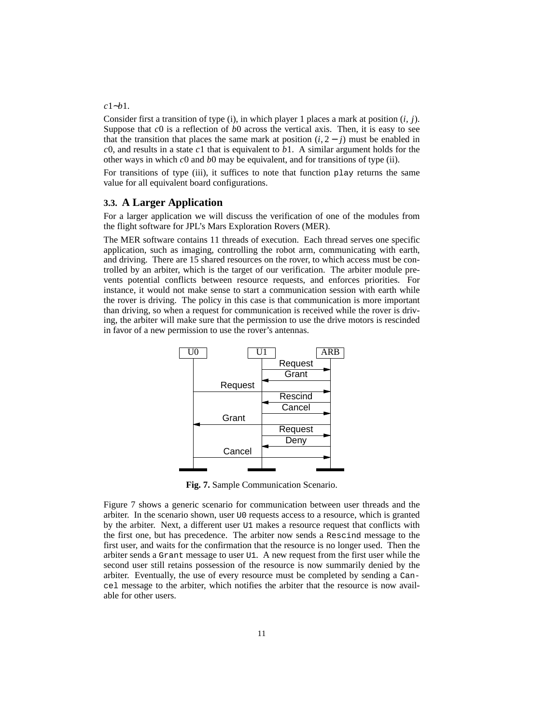## *c*1∼*b*1.

Consider first a transition of type (i), in which player 1 places a mark at position (*i*, *j*). Suppose that  $c0$  is a reflection of  $b0$  across the vertical axis. Then, it is easy to see that the transition that places the same mark at position  $(i, 2 - j)$  must be enabled in *c*0, and results in a state *c*1 that is equivalent to *b*1. A similar argument holds for the other ways in which *c*0 and *b*0 may be equivalent, and for transitions of type (ii).

For transitions of type (iii), it suffices to note that function play returns the same value for all equivalent board configurations.

## **3.3. A Larger Application**

For a larger application we will discuss the verification of one of the modules from the flight software for JPL's Mars Exploration Rovers (MER).

The MER software contains 11 threads of execution. Each thread serves one specific application, such as imaging, controlling the robot arm, communicating with earth, and driving. There are 15 shared resources on the rover, to which access must be controlled by an arbiter, which is the target of our verification. The arbiter module prevents potential conflicts between resource requests, and enforces priorities. For instance, it would not make sense to start a communication session with earth while the rover is driving. The policy in this case is that communication is more important than driving, so when a request for communication is received while the rover is driving, the arbiter will make sure that the permission to use the drive motors is rescinded in favor of a new permission to use the rover's antennas.



**Fig. 7.** Sample Communication Scenario.

Figure 7 shows a generic scenario for communication between user threads and the arbiter. In the scenario shown, user U0 requests access to a resource, which is granted by the arbiter. Next, a different user U1 makes a resource request that conflicts with the first one, but has precedence. The arbiter now sends a Rescind message to the first user, and waits for the confirmation that the resource is no longer used. Then the arbiter sends a Grant message to user U1. A new request from the first user while the second user still retains possession of the resource is now summarily denied by the arbiter. Eventually, the use of every resource must be completed by sending a Cancel message to the arbiter, which notifies the arbiter that the resource is now available for other users.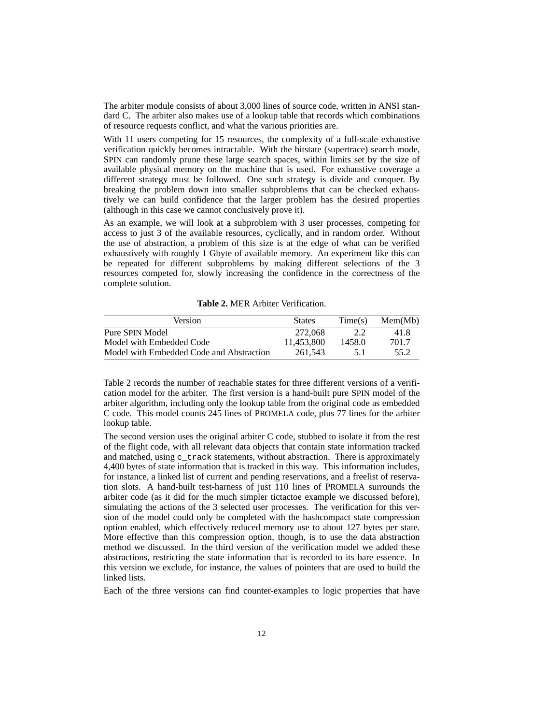The arbiter module consists of about 3,000 lines of source code, written in ANSI standard C. The arbiter also makes use of a lookup table that records which combinations of resource requests conflict, and what the various priorities are.

With 11 users competing for 15 resources, the complexity of a full-scale exhaustive verification quickly becomes intractable. With the bitstate (supertrace) search mode, SPIN can randomly prune these large search spaces, within limits set by the size of available physical memory on the machine that is used. For exhaustive coverage a different strategy must be followed. One such strategy is divide and conquer. By breaking the problem down into smaller subproblems that can be checked exhaustively we can build confidence that the larger problem has the desired properties (although in this case we cannot conclusively prove it).

As an example, we will look at a subproblem with 3 user processes, competing for access to just 3 of the available resources, cyclically, and in random order. Without the use of abstraction, a problem of this size is at the edge of what can be verified exhaustively with roughly 1 Gbyte of available memory. An experiment like this can be repeated for different subproblems by making different selections of the 3 resources competed for, slowly increasing the confidence in the correctness of the complete solution.

**Table 2.** MER Arbiter Verification.

| Version                                  | <b>States</b> | Time(s) | Mem(Mb) |
|------------------------------------------|---------------|---------|---------|
| Pure SPIN Model                          | 272.068       |         | 41.8    |
| Model with Embedded Code                 | 11.453.800    | 1458.0  | 701.7   |
| Model with Embedded Code and Abstraction | 261.543       | 51      | 55.2    |

Table 2 records the number of reachable states for three different versions of a verification model for the arbiter. The first version is a hand-built pure SPIN model of the arbiter algorithm, including only the lookup table from the original code as embedded C code. This model counts 245 lines of PROMELA code, plus 77 lines for the arbiter lookup table.

The second version uses the original arbiter C code, stubbed to isolate it from the rest of the flight code, with all relevant data objects that contain state information tracked and matched, using c\_track statements, without abstraction. There is approximately 4,400 bytes of state information that is tracked in this way. This information includes, for instance, a linked list of current and pending reservations, and a freelist of reservation slots. A hand-built test-harness of just 110 lines of PROMELA surrounds the arbiter code (as it did for the much simpler tictactoe example we discussed before), simulating the actions of the 3 selected user processes. The verification for this version of the model could only be completed with the hashcompact state compression option enabled, which effectively reduced memory use to about 127 bytes per state. More effective than this compression option, though, is to use the data abstraction method we discussed. In the third version of the verification model we added these abstractions, restricting the state information that is recorded to its bare essence. In this version we exclude, for instance, the values of pointers that are used to build the linked lists.

Each of the three versions can find counter-examples to logic properties that have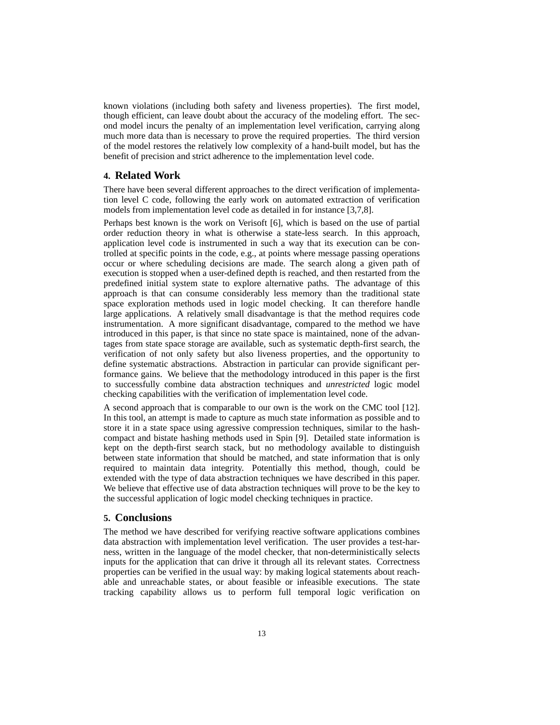known violations (including both safety and liveness properties). The first model, though efficient, can leave doubt about the accuracy of the modeling effort. The second model incurs the penalty of an implementation level verification, carrying along much more data than is necessary to prove the required properties. The third version of the model restores the relatively low complexity of a hand-built model, but has the benefit of precision and strict adherence to the implementation level code.

## **4. Related Work**

There have been several different approaches to the direct verification of implementation level C code, following the early work on automated extraction of verification models from implementation level code as detailed in for instance [3,7,8].

Perhaps best known is the work on Verisoft [6], which is based on the use of partial order reduction theory in what is otherwise a state-less search. In this approach, application level code is instrumented in such a way that its execution can be controlled at specific points in the code, e.g., at points where message passing operations occur or where scheduling decisions are made. The search along a given path of execution is stopped when a user-defined depth is reached, and then restarted from the predefined initial system state to explore alternative paths. The advantage of this approach is that can consume considerably less memory than the traditional state space exploration methods used in logic model checking. It can therefore handle large applications. A relatively small disadvantage is that the method requires code instrumentation. A more significant disadvantage, compared to the method we have introduced in this paper, is that since no state space is maintained, none of the advantages from state space storage are available, such as systematic depth-first search, the verification of not only safety but also liveness properties, and the opportunity to define systematic abstractions. Abstraction in particular can provide significant performance gains. We believe that the methodology introduced in this paper is the first to successfully combine data abstraction techniques and *unrestricted* logic model checking capabilities with the verification of implementation level code.

A second approach that is comparable to our own is the work on the CMC tool [12]. In this tool, an attempt is made to capture as much state information as possible and to store it in a state space using agressive compression techniques, similar to the hashcompact and bistate hashing methods used in Spin [9]. Detailed state information is kept on the depth-first search stack, but no methodology available to distinguish between state information that should be matched, and state information that is only required to maintain data integrity. Potentially this method, though, could be extended with the type of data abstraction techniques we have described in this paper. We believe that effective use of data abstraction techniques will prove to be the key to the successful application of logic model checking techniques in practice.

#### **5. Conclusions**

The method we have described for verifying reactive software applications combines data abstraction with implementation level verification. The user provides a test-harness, written in the language of the model checker, that non-deterministically selects inputs for the application that can drive it through all its relevant states. Correctness properties can be verified in the usual way: by making logical statements about reachable and unreachable states, or about feasible or infeasible executions. The state tracking capability allows us to perform full temporal logic verification on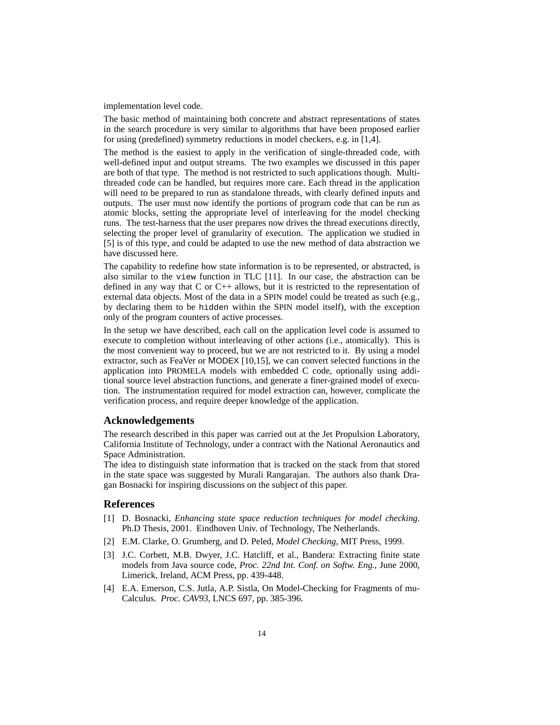implementation level code.

The basic method of maintaining both concrete and abstract representations of states in the search procedure is very similar to algorithms that have been proposed earlier for using (predefined) symmetry reductions in model checkers, e.g. in [1,4].

The method is the easiest to apply in the verification of single-threaded code, with well-defined input and output streams. The two examples we discussed in this paper are both of that type. The method is not restricted to such applications though. Multithreaded code can be handled, but requires more care. Each thread in the application will need to be prepared to run as standalone threads, with clearly defined inputs and outputs. The user must now identify the portions of program code that can be run as atomic blocks, setting the appropriate level of interleaving for the model checking runs. The test-harness that the user prepares now drives the thread executions directly, selecting the proper level of granularity of execution. The application we studied in [5] is of this type, and could be adapted to use the new method of data abstraction we have discussed here.

The capability to redefine how state information is to be represented, or abstracted, is also similar to the view function in TLC [11]. In our case, the abstraction can be defined in any way that  $C$  or  $C++$  allows, but it is restricted to the representation of external data objects. Most of the data in a SPIN model could be treated as such (e.g., by declaring them to be hidden within the SPIN model itself), with the exception only of the program counters of active processes.

In the setup we have described, each call on the application level code is assumed to execute to completion without interleaving of other actions (i.e., atomically). This is the most convenient way to proceed, but we are not restricted to it. By using a model extractor, such as FeaVer or MODEX [10,15], we can convert selected functions in the application into PROMELA models with embedded C code, optionally using additional source level abstraction functions, and generate a finer-grained model of execution. The instrumentation required for model extraction can, however, complicate the verification process, and require deeper knowledge of the application.

#### **Acknowledgements**

The research described in this paper was carried out at the Jet Propulsion Laboratory, California Institute of Technology, under a contract with the National Aeronautics and Space Administration.

The idea to distinguish state information that is tracked on the stack from that stored in the state space was suggested by Murali Rangarajan. The authors also thank Dragan Bosnacki for inspiring discussions on the subject of this paper.

#### **References**

- [1] D. Bosnacki, *Enhancing state space reduction techniques for model checking*. Ph.D Thesis, 2001. Eindhoven Univ. of Technology, The Netherlands.
- [2] E.M. Clarke, O. Grumberg, and D. Peled, *Model Checking*, MIT Press, 1999.
- [3] J.C. Corbett, M.B. Dwyer, J.C. Hatcliff, et al., Bandera: Extracting finite state models from Java source code, *Proc. 22nd Int. Conf. on Softw. Eng.*, June 2000, Limerick, Ireland, ACM Press, pp. 439-448.
- [4] E.A. Emerson, C.S. Jutla, A.P. Sistla, On Model-Checking for Fragments of mu-Calculus. *Proc. CAV93*, LNCS 697, pp. 385-396.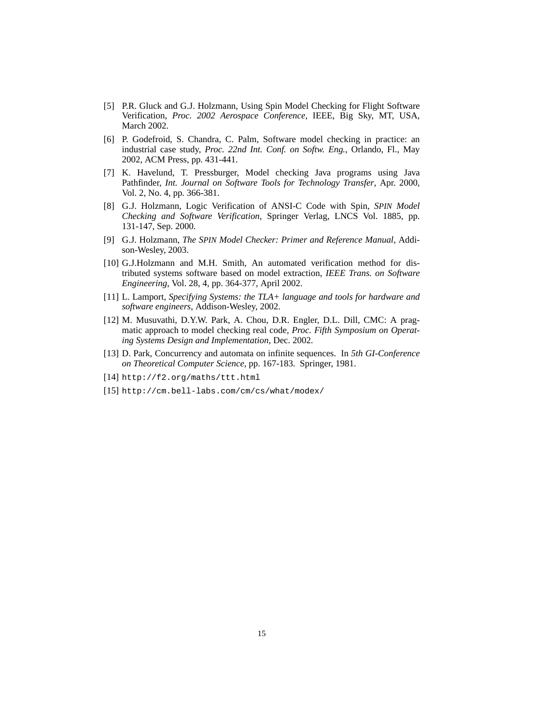- [5] P.R. Gluck and G.J. Holzmann, Using Spin Model Checking for Flight Software Verification, *Proc. 2002 Aerospace Conference*, IEEE, Big Sky, MT, USA, March 2002.
- [6] P. Godefroid, S. Chandra, C. Palm, Software model checking in practice: an industrial case study, *Proc. 22nd Int. Conf. on Softw. Eng.*, Orlando, Fl., May 2002, ACM Press, pp. 431-441.
- [7] K. Havelund, T. Pressburger, Model checking Java programs using Java Pathfinder, *Int. Journal on Software Tools for Technology Transfer*, Apr. 2000, Vol. 2, No. 4, pp. 366-381.
- [8] G.J. Holzmann, Logic Verification of ANSI-C Code with Spin, *SPIN Model Checking and Software Verification*, Springer Verlag, LNCS Vol. 1885, pp. 131-147, Sep. 2000.
- [9] G.J. Holzmann, *The SPIN Model Checker: Primer and Reference Manual*, Addison-Wesley, 2003.
- [10] G.J.Holzmann and M.H. Smith, An automated verification method for distributed systems software based on model extraction, *IEEE Trans. on Software Engineering*, Vol. 28, 4, pp. 364-377, April 2002.
- [11] L. Lamport, *Specifying Systems: the TLA+ language and tools for hardware and software engineers*, Addison-Wesley, 2002.
- [12] M. Musuvathi, D.Y.W. Park, A. Chou, D.R. Engler, D.L. Dill, CMC: A pragmatic approach to model checking real code, *Proc. Fifth Symposium on Operating Systems Design and Implementation*, Dec. 2002.
- [13] D. Park, Concurrency and automata on infinite sequences. In *5th GI-Conference on Theoretical Computer Science*, pp. 167-183. Springer, 1981.
- [14] http://f2.org/maths/ttt.html
- [15] http://cm.bell-labs.com/cm/cs/what/modex/